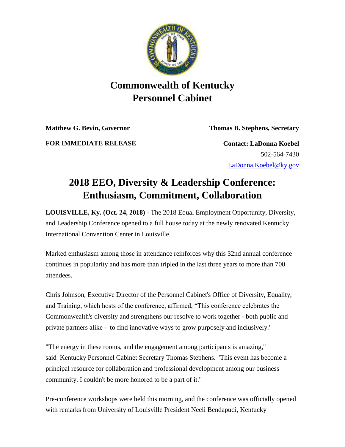

## **Commonwealth of Kentucky Personnel Cabinet**

**Matthew G. Bevin, Governor Thomas B. Stephens, Secretary**

**FOR IMMEDIATE RELEASE Contact: LaDonna Koebel**

502-564-7430 [LaDonna.Koebel@ky.gov](mailto:LaDonna.Koebel@ky.gov)

## **2018 EEO, Diversity & Leadership Conference: Enthusiasm, Commitment, Collaboration**

**LOUISVILLE, Ky. (Oct. 24, 2018)** - The 2018 Equal Employment Opportunity, Diversity, and Leadership Conference opened to a full house today at the newly renovated Kentucky International Convention Center in Louisville.

Marked enthusiasm among those in attendance reinforces why this 32nd annual conference continues in popularity and has more than tripled in the last three years to more than 700 attendees.

Chris Johnson, Executive Director of the Personnel Cabinet's Office of Diversity, Equality, and Training, which hosts of the conference, affirmed, "This conference celebrates the Commonwealth's diversity and strengthens our resolve to work together - both public and private partners alike - to find innovative ways to grow purposely and inclusively."

"The energy in these rooms, and the engagement among participants is amazing," said Kentucky Personnel Cabinet Secretary Thomas Stephens. "This event has become a principal resource for collaboration and professional development among our business community. I couldn't be more honored to be a part of it."

Pre-conference workshops were held this morning, and the conference was officially opened with remarks from University of Louisville President Neeli Bendapudi, Kentucky